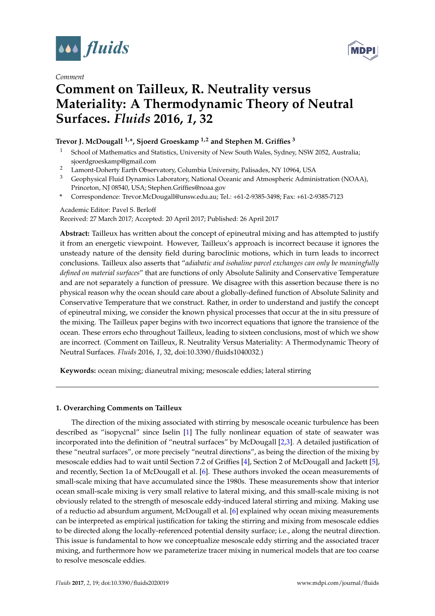

*Comment*



# **Comment on Tailleux, R. Neutrality versus Materiality: A Thermodynamic Theory of Neutral Surfaces.** *Fluids* **2016,** *1***, 32**

# **Trevor J. McDougall 1,\*, Sjoerd Groeskamp 1,2 and Stephen M. Griffies <sup>3</sup>**

- School of Mathematics and Statistics, University of New South Wales, Sydney, NSW 2052, Australia; sjoerdgroeskamp@gmail.com
- <sup>2</sup> Lamont-Doherty Earth Observatory, Columbia University, Palisades, NY 10964, USA
- <sup>3</sup> Geophysical Fluid Dynamics Laboratory, National Oceanic and Atmospheric Administration (NOAA), Princeton, NJ 08540, USA; Stephen.Griffies@noaa.gov
- **\*** Correspondence: Trevor.McDougall@unsw.edu.au; Tel.: +61-2-9385-3498; Fax: +61-2-9385-7123

Academic Editor: Pavel S. Berloff Received: 27 March 2017; Accepted: 20 April 2017; Published: 26 April 2017

**Abstract:** Tailleux has written about the concept of epineutral mixing and has attempted to justify it from an energetic viewpoint. However, Tailleux's approach is incorrect because it ignores the unsteady nature of the density field during baroclinic motions, which in turn leads to incorrect conclusions. Tailleux also asserts that "*adiabatic and isohaline parcel exchanges can only be meaningfully defined on material surfaces*" that are functions of only Absolute Salinity and Conservative Temperature and are not separately a function of pressure. We disagree with this assertion because there is no physical reason why the ocean should care about a globally-defined function of Absolute Salinity and Conservative Temperature that we construct. Rather, in order to understand and justify the concept of epineutral mixing, we consider the known physical processes that occur at the in situ pressure of the mixing. The Tailleux paper begins with two incorrect equations that ignore the transience of the ocean. These errors echo throughout Tailleux, leading to sixteen conclusions, most of which we show are incorrect. (Comment on Tailleux, R. Neutrality Versus Materiality: A Thermodynamic Theory of Neutral Surfaces. *Fluids* 2016, *1*, 32, doi:10.3390/fluids1040032.)

**Keywords:** ocean mixing; dianeutral mixing; mesoscale eddies; lateral stirring

# **1. Overarching Comments on Tailleux**

The direction of the mixing associated with stirring by mesoscale oceanic turbulence has been described as "isopycnal" since Iselin [\[1\]](#page-13-0) The fully nonlinear equation of state of seawater was incorporated into the definition of "neutral surfaces" by McDougall [\[2](#page-14-0)[,3\]](#page-14-1). A detailed justification of these "neutral surfaces", or more precisely "neutral directions", as being the direction of the mixing by mesoscale eddies had to wait until Section 7.2 of Griffies [\[4\]](#page-14-2), Section 2 of McDougall and Jackett [\[5\]](#page-14-3), and recently, Section 1a of McDougall et al. [\[6\]](#page-14-4). These authors invoked the ocean measurements of small-scale mixing that have accumulated since the 1980s. These measurements show that interior ocean small-scale mixing is very small relative to lateral mixing, and this small-scale mixing is not obviously related to the strength of mesoscale eddy-induced lateral stirring and mixing. Making use of a reductio ad absurdum argument, McDougall et al. [\[6\]](#page-14-4) explained why ocean mixing measurements can be interpreted as empirical justification for taking the stirring and mixing from mesoscale eddies to be directed along the locally-referenced potential density surface; i.e., along the neutral direction. This issue is fundamental to how we conceptualize mesoscale eddy stirring and the associated tracer mixing, and furthermore how we parameterize tracer mixing in numerical models that are too coarse to resolve mesoscale eddies.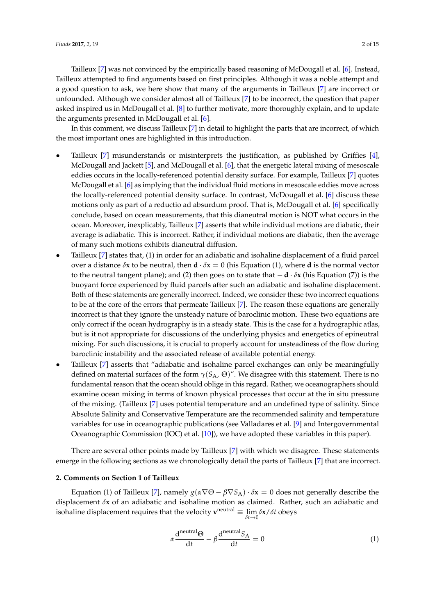Tailleux [\[7\]](#page-14-5) was not convinced by the empirically based reasoning of McDougall et al. [\[6\]](#page-14-4). Instead, Tailleux attempted to find arguments based on first principles. Although it was a noble attempt and a good question to ask, we here show that many of the arguments in Tailleux [\[7\]](#page-14-5) are incorrect or unfounded. Although we consider almost all of Tailleux [\[7\]](#page-14-5) to be incorrect, the question that paper asked inspired us in McDougall et al. [\[8\]](#page-14-6) to further motivate, more thoroughly explain, and to update the arguments presented in McDougall et al. [\[6\]](#page-14-4).

In this comment, we discuss Tailleux [\[7\]](#page-14-5) in detail to highlight the parts that are incorrect, of which the most important ones are highlighted in this introduction.

- Tailleux [\[7\]](#page-14-5) misunderstands or misinterprets the justification, as published by Griffies [\[4\]](#page-14-2), McDougall and Jackett [\[5\]](#page-14-3), and McDougall et al. [\[6\]](#page-14-4), that the energetic lateral mixing of mesoscale eddies occurs in the locally-referenced potential density surface. For example, Tailleux [\[7\]](#page-14-5) quotes McDougall et al. [\[6\]](#page-14-4) as implying that the individual fluid motions in mesoscale eddies move across the locally-referenced potential density surface. In contrast, McDougall et al. [\[6\]](#page-14-4) discuss these motions only as part of a reductio ad absurdum proof. That is, McDougall et al. [\[6\]](#page-14-4) specifically conclude, based on ocean measurements, that this dianeutral motion is NOT what occurs in the ocean. Moreover, inexplicably, Tailleux [\[7\]](#page-14-5) asserts that while individual motions are diabatic, their average is adiabatic. This is incorrect. Rather, if individual motions are diabatic, then the average of many such motions exhibits dianeutral diffusion.
- Tailleux [\[7\]](#page-14-5) states that, (1) in order for an adiabatic and isohaline displacement of a fluid parcel over a distance  $\delta$ **x** to be neutral, then **d** ·  $\delta$ **x** = 0 (his Equation (1), where **d** is the normal vector to the neutral tangent plane); and (2) then goes on to state that  $-\mathbf{d} \cdot \delta \mathbf{x}$  (his Equation (7)) is the buoyant force experienced by fluid parcels after such an adiabatic and isohaline displacement. Both of these statements are generally incorrect. Indeed, we consider these two incorrect equations to be at the core of the errors that permeate Tailleux [\[7\]](#page-14-5). The reason these equations are generally incorrect is that they ignore the unsteady nature of baroclinic motion. These two equations are only correct if the ocean hydrography is in a steady state. This is the case for a hydrographic atlas, but is it not appropriate for discussions of the underlying physics and energetics of epineutral mixing. For such discussions, it is crucial to properly account for unsteadiness of the flow during baroclinic instability and the associated release of available potential energy.
- Tailleux [\[7\]](#page-14-5) asserts that "adiabatic and isohaline parcel exchanges can only be meaningfully defined on material surfaces of the form *γ*(*S*A, Θ)". We disagree with this statement. There is no fundamental reason that the ocean should oblige in this regard. Rather, we oceanographers should examine ocean mixing in terms of known physical processes that occur at the in situ pressure of the mixing. (Tailleux [\[7\]](#page-14-5) uses potential temperature and an undefined type of salinity. Since Absolute Salinity and Conservative Temperature are the recommended salinity and temperature variables for use in oceanographic publications (see Valladares et al. [\[9\]](#page-14-7) and Intergovernmental Oceanographic Commission (IOC) et al. [\[10\]](#page-14-8)), we have adopted these variables in this paper).

There are several other points made by Tailleux [\[7\]](#page-14-5) with which we disagree. These statements emerge in the following sections as we chronologically detail the parts of Tailleux [\[7\]](#page-14-5) that are incorrect.

## <span id="page-1-0"></span>**2. Comments on Section 1 of Tailleux**

Equation (1) of Tailleux [\[7\]](#page-14-5), namely  $g(a\nabla\Theta - \beta\nabla S_A) \cdot \delta x = 0$  does not generally describe the displacement *δ***x** of an adiabatic and isohaline motion as claimed. Rather, such an adiabatic and isohaline displacement requires that the velocity  $\mathbf{v}^{\text{neutral}} \equiv \lim_{\delta t \to 0} \delta \mathbf{x}/\delta t$  obeys

$$
\alpha \frac{d^{\text{neutral}}\Theta}{dt} - \beta \frac{d^{\text{neutral}}S_A}{dt} = 0
$$
 (1)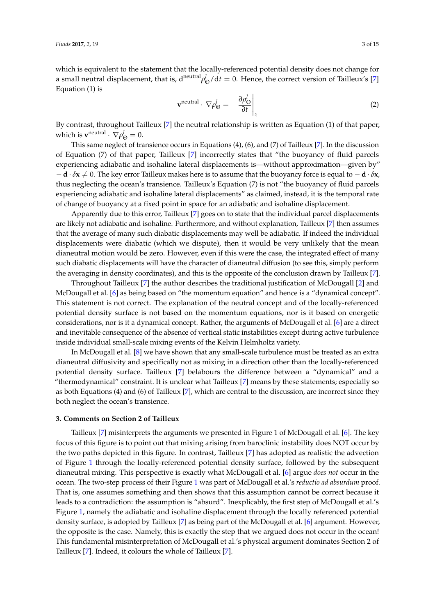which is equivalent to the statement that the locally-referenced potential density does not change for a small neutral displacement, that is,  $d^{neutral} \rho_{\Theta}^l/dt = 0$ . Hence, the correct version of Tailleux's [\[7\]](#page-14-5) Equation (1) is

$$
\mathbf{v}^{\text{neutral}} \cdot \nabla \rho_{\Theta}^{l} = -\frac{\partial \rho_{\Theta}^{l}}{\partial t} \Big|_{z}
$$
 (2)

By contrast, throughout Tailleux [\[7\]](#page-14-5) the neutral relationship is written as Equation (1) of that paper, which is  $\mathbf{v}^{\text{neutral}} \cdot \nabla \rho_{\Theta}^{l} = 0.$ 

This same neglect of transience occurs in Equations (4), (6), and (7) of Tailleux [\[7\]](#page-14-5). In the discussion of Equation (7) of that paper, Tailleux [\[7\]](#page-14-5) incorrectly states that "the buoyancy of fluid parcels experiencing adiabatic and isohaline lateral displacements is—without approximation—given by" − **d** · *δ***x** 6= 0. The key error Tailleux makes here is to assume that the buoyancy force is equal to − **d** · *δ***x**, thus neglecting the ocean's transience. Tailleux's Equation (7) is not "the buoyancy of fluid parcels experiencing adiabatic and isohaline lateral displacements" as claimed, instead, it is the temporal rate of change of buoyancy at a fixed point in space for an adiabatic and isohaline displacement.

Apparently due to this error, Tailleux [\[7\]](#page-14-5) goes on to state that the individual parcel displacements are likely not adiabatic and isohaline. Furthermore, and without explanation, Tailleux [\[7\]](#page-14-5) then assumes that the average of many such diabatic displacements may well be adiabatic. If indeed the individual displacements were diabatic (which we dispute), then it would be very unlikely that the mean dianeutral motion would be zero. However, even if this were the case, the integrated effect of many such diabatic displacements will have the character of dianeutral diffusion (to see this, simply perform the averaging in density coordinates), and this is the opposite of the conclusion drawn by Tailleux [\[7\]](#page-14-5).

Throughout Tailleux [\[7\]](#page-14-5) the author describes the traditional justification of McDougall [\[2\]](#page-14-0) and McDougall et al. [\[6\]](#page-14-4) as being based on "the momentum equation" and hence is a "dynamical concept". This statement is not correct. The explanation of the neutral concept and of the locally-referenced potential density surface is not based on the momentum equations, nor is it based on energetic considerations, nor is it a dynamical concept. Rather, the arguments of McDougall et al. [\[6\]](#page-14-4) are a direct and inevitable consequence of the absence of vertical static instabilities except during active turbulence inside individual small-scale mixing events of the Kelvin Helmholtz variety.

In McDougall et al. [\[8\]](#page-14-6) we have shown that any small-scale turbulence must be treated as an extra dianeutral diffusivity and specifically not as mixing in a direction other than the locally-referenced potential density surface. Tailleux [\[7\]](#page-14-5) belabours the difference between a "dynamical" and a "thermodynamical" constraint. It is unclear what Tailleux [\[7\]](#page-14-5) means by these statements; especially so as both Equations (4) and (6) of Tailleux [\[7\]](#page-14-5), which are central to the discussion, are incorrect since they both neglect the ocean's transience.

## **3. Comments on Section 2 of Tailleux**

Tailleux [\[7\]](#page-14-5) misinterprets the arguments we presented in Figure 1 of McDougall et al. [\[6\]](#page-14-4). The key focus of this figure is to point out that mixing arising from baroclinic instability does NOT occur by the two paths depicted in this figure. In contrast, Tailleux [\[7\]](#page-14-5) has adopted as realistic the advection of Figure [1](#page-3-0) through the locally-referenced potential density surface, followed by the subsequent dianeutral mixing. This perspective is exactly what McDougall et al. [\[6\]](#page-14-4) argue *does not* occur in the ocean. The two-step process of their Figure [1](#page-3-0) was part of McDougall et al.'s *reductio ad absurdum* proof. That is, one assumes something and then shows that this assumption cannot be correct because it leads to a contradiction: the assumption is "absurd". Inexplicably, the first step of McDougall et al.'s Figure [1,](#page-3-0) namely the adiabatic and isohaline displacement through the locally referenced potential density surface, is adopted by Tailleux [\[7\]](#page-14-5) as being part of the McDougall et al. [\[6\]](#page-14-4) argument. However, the opposite is the case. Namely, this is exactly the step that we argued does not occur in the ocean! This fundamental misinterpretation of McDougall et al.'s physical argument dominates Section 2 of Tailleux [\[7\]](#page-14-5). Indeed, it colours the whole of Tailleux [\[7\]](#page-14-5).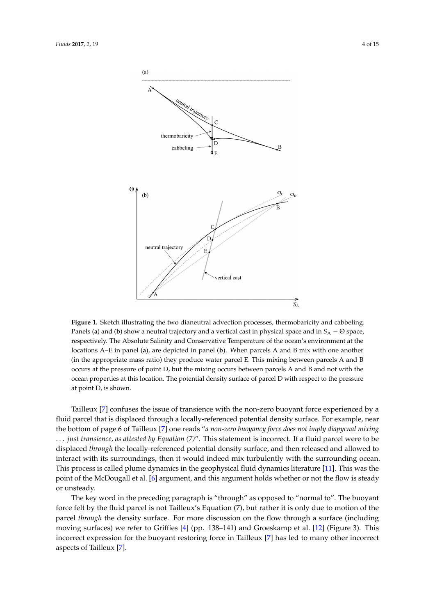<span id="page-3-0"></span>

**Figure 1** Sketch illustrating the two dianeutral advection processes, thermobaricity and cabbeling. **Figure 1.** Sketch illustrating the two dianeutral advection processes, thermobaricity and cabbeling. Panels (a) and (b) show a neutral trajectory and a vertical cast in physical space and in  $S_A - \Theta$  space, respectively. The Absolute Salinity and Conservative Temperature of the ocean's environment at the locations A–E in panel (a), are depicted in panel (b). When parcels A and B mix with one another (in the appropriate mass ratio) they produce water parcel E. This mixing between parcels A and B occurs at the pressure of point D, but the mixing occurs between parcels A and B and not with the ocean properties at this location. The potential density surface of parcel D with respect to the pressure at point D, is shown.

Tailleux [\[7\]](#page-14-5) confuses the issue of transience with the non-zero buoyant force experienced by a fluid parcel that is displaced through a locally-referenced potential density surface. For example, near the bottom of page 6 of Tailleux [\[7\]](#page-14-5) one reads "*a non-zero buoyancy force does not imply diapycnal mixing* ... *just transience, as attested by Equation (7)*". This statement is incorrect. If a fluid parcel were to be displaced *through* the locally-referenced potential density surface, and then released and allowed to interact with its surroundings, then it would indeed mix turbulently with the surrounding ocean. This process is called plume dynamics in the geophysical fluid dynamics literature [\[11\]](#page-14-9). This was the point of the McDougall et al. [\[6\]](#page-14-4) argument, and this argument holds whether or not the flow is steady or unsteady.

The key word in the preceding paragraph is "through" as opposed to "normal to". The buoyant force felt by the fluid parcel is not Tailleux's Equation (7), but rather it is only due to motion of the parcel *through* the density surface. For more discussion on the flow through a surface (including moving surfaces) we refer to Griffies [\[4\]](#page-14-2) (pp. 138–141) and Groeskamp et al. [\[12\]](#page-14-10) (Figure 3). This incorrect expression for the buoyant restoring force in Tailleux [\[7\]](#page-14-5) has led to many other incorrect aspects of Tailleux [\[7\]](#page-14-5).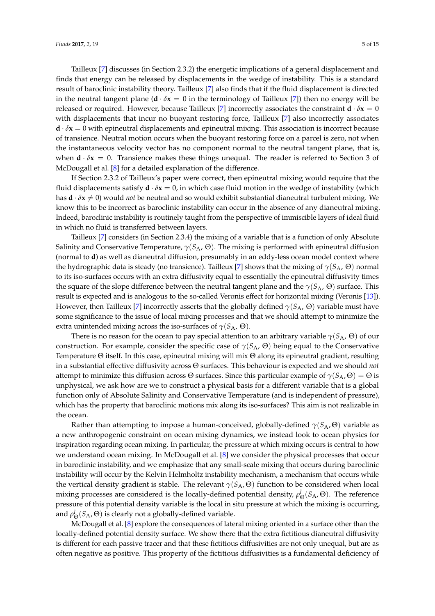Tailleux [\[7\]](#page-14-5) discusses (in Section 2.3.2) the energetic implications of a general displacement and finds that energy can be released by displacements in the wedge of instability. This is a standard result of baroclinic instability theory. Tailleux [\[7\]](#page-14-5) also finds that if the fluid displacement is directed in the neutral tangent plane ( $\mathbf{d} \cdot \delta \mathbf{x} = 0$  in the terminology of Tailleux [\[7\]](#page-14-5)) then no energy will be released or required. However, because Tailleux [\[7\]](#page-14-5) incorrectly associates the constraint  $\mathbf{d} \cdot \delta \mathbf{x} = 0$ with displacements that incur no buoyant restoring force, Tailleux [\[7\]](#page-14-5) also incorrectly associates  $\mathbf{d} \cdot \delta \mathbf{x} = 0$  with epineutral displacements and epineutral mixing. This association is incorrect because of transience. Neutral motion occurs when the buoyant restoring force on a parcel is zero, not when the instantaneous velocity vector has no component normal to the neutral tangent plane, that is, when  $\mathbf{d} \cdot \delta \mathbf{x} = 0$ . Transience makes these things unequal. The reader is referred to Section 3 of McDougall et al. [\[8\]](#page-14-6) for a detailed explanation of the difference.

If Section 2.3.2 of Tailleux's paper were correct, then epineutral mixing would require that the fluid displacements satisfy  $\mathbf{d} \cdot \delta \mathbf{x} = 0$ , in which case fluid motion in the wedge of instability (which has  $\mathbf{d} \cdot \delta \mathbf{x} \neq 0$ ) would *not* be neutral and so would exhibit substantial dianeutral turbulent mixing. We know this to be incorrect as baroclinic instability can occur in the absence of any dianeutral mixing. Indeed, baroclinic instability is routinely taught from the perspective of immiscible layers of ideal fluid in which no fluid is transferred between layers.

Tailleux [\[7\]](#page-14-5) considers (in Section 2.3.4) the mixing of a variable that is a function of only Absolute Salinity and Conservative Temperature,  $\gamma(S_A, \Theta)$ . The mixing is performed with epineutral diffusion (normal to **d**) as well as dianeutral diffusion, presumably in an eddy-less ocean model context where the hydrographic data is steady (no transience). Tailleux [\[7\]](#page-14-5) shows that the mixing of *γ*(*S*A, Θ) normal to its iso-surfaces occurs with an extra diffusivity equal to essentially the epineutral diffusivity times the square of the slope difference between the neutral tangent plane and the  $\gamma(S_A, \Theta)$  surface. This result is expected and is analogous to the so-called Veronis effect for horizontal mixing (Veronis [\[13\]](#page-14-11)). However, then Tailleux [\[7\]](#page-14-5) incorrectly asserts that the globally defined  $\gamma(S_A, \Theta)$  variable must have some significance to the issue of local mixing processes and that we should attempt to minimize the extra unintended mixing across the iso-surfaces of  $\gamma(S_A, \Theta)$ .

There is no reason for the ocean to pay special attention to an arbitrary variable  $\gamma(S_A, \Theta)$  of our construction. For example, consider the specific case of  $\gamma(S_A, \Theta)$  being equal to the Conservative Temperature Θ itself. In this case, epineutral mixing will mix Θ along its epineutral gradient, resulting in a substantial effective diffusivity across Θ surfaces. This behaviour is expected and we should *not* attempt to minimize this diffusion across  $\Theta$  surfaces. Since this particular example of  $\gamma(S_A, \Theta) = \Theta$  is unphysical, we ask how are we to construct a physical basis for a different variable that is a global function only of Absolute Salinity and Conservative Temperature (and is independent of pressure), which has the property that baroclinic motions mix along its iso-surfaces? This aim is not realizable in the ocean.

Rather than attempting to impose a human-conceived, globally-defined  $\gamma(S_A, \Theta)$  variable as a new anthropogenic constraint on ocean mixing dynamics, we instead look to ocean physics for inspiration regarding ocean mixing. In particular, the pressure at which mixing occurs is central to how we understand ocean mixing. In McDougall et al. [\[8\]](#page-14-6) we consider the physical processes that occur in baroclinic instability, and we emphasize that any small-scale mixing that occurs during baroclinic instability will occur by the Kelvin Helmholtz instability mechanism, a mechanism that occurs while the vertical density gradient is stable. The relevant *γ*(*S*A, Θ) function to be considered when local mixing processes are considered is the locally-defined potential density,  $\rho_{\Theta}^l(S_A, \Theta)$ . The reference pressure of this potential density variable is the local in situ pressure at which the mixing is occurring, and  $\rho^l_{\Theta}(S_A, \Theta)$  is clearly not a globally-defined variable.

McDougall et al. [\[8\]](#page-14-6) explore the consequences of lateral mixing oriented in a surface other than the locally-defined potential density surface. We show there that the extra fictitious dianeutral diffusivity is different for each passive tracer and that these fictitious diffusivities are not only unequal, but are as often negative as positive. This property of the fictitious diffusivities is a fundamental deficiency of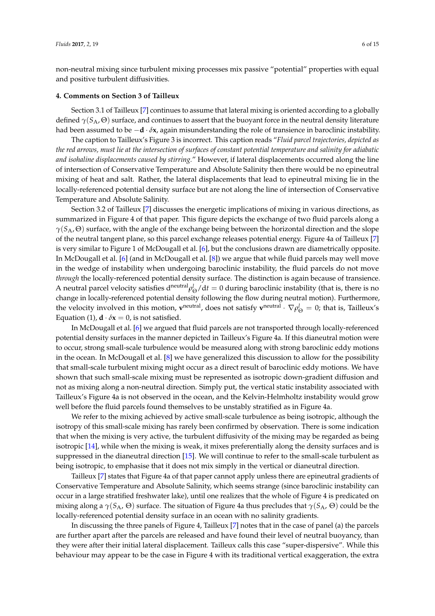non-neutral mixing since turbulent mixing processes mix passive "potential" properties with equal and positive turbulent diffusivities.

## **4. Comments on Section 3 of Tailleux**

Section 3.1 of Tailleux [\[7\]](#page-14-5) continues to assume that lateral mixing is oriented according to a globally defined *γ*(*S*A, Θ) surface, and continues to assert that the buoyant force in the neutral density literature had been assumed to be −**d** · *δ***x**, again misunderstanding the role of transience in baroclinic instability.

The caption to Tailleux's Figure 3 is incorrect. This caption reads "*Fluid parcel trajectories, depicted as the red arrows, must lie at the intersection of surfaces of constant potential temperature and salinity for adiabatic and isohaline displacements caused by stirring.*" However, if lateral displacements occurred along the line of intersection of Conservative Temperature and Absolute Salinity then there would be no epineutral mixing of heat and salt. Rather, the lateral displacements that lead to epineutral mixing lie in the locally-referenced potential density surface but are not along the line of intersection of Conservative Temperature and Absolute Salinity.

Section 3.2 of Tailleux [\[7\]](#page-14-5) discusses the energetic implications of mixing in various directions, as summarized in Figure 4 of that paper. This figure depicts the exchange of two fluid parcels along a  $\gamma(S_A,\Theta)$  surface, with the angle of the exchange being between the horizontal direction and the slope of the neutral tangent plane, so this parcel exchange releases potential energy. Figure 4a of Tailleux [\[7\]](#page-14-5) is very similar to Figure 1 of McDougall et al. [\[6\]](#page-14-4), but the conclusions drawn are diametrically opposite. In McDougall et al. [\[6\]](#page-14-4) (and in McDougall et al. [\[8\]](#page-14-6)) we argue that while fluid parcels may well move in the wedge of instability when undergoing baroclinic instability, the fluid parcels do not move *through* the locally-referenced potential density surface. The distinction is again because of transience. A neutral parcel velocity satisfies  $d^{neutral} \rho_{\Theta}^l/dt = 0$  during baroclinic instability (that is, there is no change in locally-referenced potential density following the flow during neutral motion). Furthermore, the velocity involved in this motion,  $\mathbf{v}^{\text{neutral}}$ , does not satisfy  $\mathbf{v}^{\text{neutral}} \cdot \nabla \rho_{\Theta}^l = 0$ ; that is, Tailleux's Equation (1),  $\mathbf{d} \cdot \delta \mathbf{x} = 0$ , is not satisfied.

In McDougall et al. [\[6\]](#page-14-4) we argued that fluid parcels are not transported through locally-referenced potential density surfaces in the manner depicted in Tailleux's Figure 4a. If this dianeutral motion were to occur, strong small-scale turbulence would be measured along with strong baroclinic eddy motions in the ocean. In McDougall et al. [\[8\]](#page-14-6) we have generalized this discussion to allow for the possibility that small-scale turbulent mixing might occur as a direct result of baroclinic eddy motions. We have shown that such small-scale mixing must be represented as isotropic down-gradient diffusion and not as mixing along a non-neutral direction. Simply put, the vertical static instability associated with Tailleux's Figure 4a is not observed in the ocean, and the Kelvin-Helmholtz instability would grow well before the fluid parcels found themselves to be unstably stratified as in Figure 4a.

We refer to the mixing achieved by active small-scale turbulence as being isotropic, although the isotropy of this small-scale mixing has rarely been confirmed by observation. There is some indication that when the mixing is very active, the turbulent diffusivity of the mixing may be regarded as being isotropic [\[14\]](#page-14-12), while when the mixing is weak, it mixes preferentially along the density surfaces and is suppressed in the dianeutral direction [\[15\]](#page-14-13). We will continue to refer to the small-scale turbulent as being isotropic, to emphasise that it does not mix simply in the vertical or dianeutral direction.

Tailleux [\[7\]](#page-14-5) states that Figure 4a of that paper cannot apply unless there are epineutral gradients of Conservative Temperature and Absolute Salinity, which seems strange (since baroclinic instability can occur in a large stratified freshwater lake), until one realizes that the whole of Figure 4 is predicated on mixing along a *γ*(*S*A, Θ) surface. The situation of Figure 4a thus precludes that *γ*(*S*A, Θ) could be the locally-referenced potential density surface in an ocean with no salinity gradients.

In discussing the three panels of Figure 4, Tailleux [\[7\]](#page-14-5) notes that in the case of panel (a) the parcels are further apart after the parcels are released and have found their level of neutral buoyancy, than they were after their initial lateral displacement. Tailleux calls this case "super-dispersive". While this behaviour may appear to be the case in Figure 4 with its traditional vertical exaggeration, the extra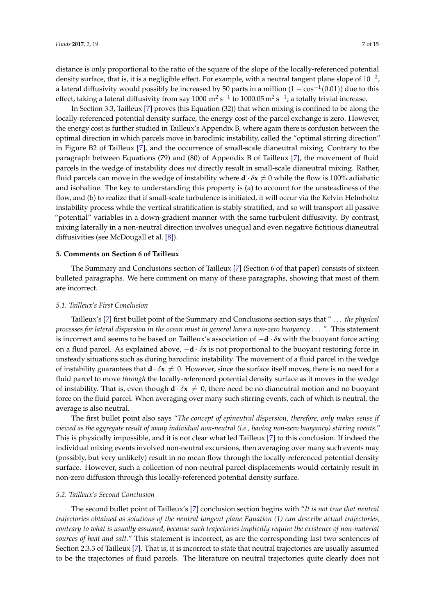distance is only proportional to the ratio of the square of the slope of the locally-referenced potential density surface, that is, it is a negligible effect. For example, with a neutral tangent plane slope of  $10^{-2}$ , a lateral diffusivity would possibly be increased by 50 parts in a million (1  $-$  cos $^{-1}(0.01)$ ) due to this effect, taking a lateral diffusivity from say 1000 m<sup>2</sup> s<sup>-1</sup> to 1000.05 m<sup>2</sup> s<sup>-1</sup>; a totally trivial increase.

In Section 3.3, Tailleux [\[7\]](#page-14-5) proves (his Equation (32)) that when mixing is confined to be along the locally-referenced potential density surface, the energy cost of the parcel exchange is zero. However, the energy cost is further studied in Tailleux's Appendix B, where again there is confusion between the optimal direction in which parcels move in baroclinic instability, called the "optimal stirring direction" in Figure B2 of Tailleux [\[7\]](#page-14-5), and the occurrence of small-scale dianeutral mixing. Contrary to the paragraph between Equations (79) and (80) of Appendix B of Tailleux [\[7\]](#page-14-5), the movement of fluid parcels in the wedge of instability does *not* directly result in small-scale dianeutral mixing. Rather, fluid parcels can move in the wedge of instability where  $\mathbf{d} \cdot \delta \mathbf{x} \neq 0$  while the flow is 100% adiabatic and isohaline. The key to understanding this property is (a) to account for the unsteadiness of the flow, and (b) to realize that if small-scale turbulence is initiated, it will occur via the Kelvin Helmholtz instability process while the vertical stratification is stably stratified, and so will transport all passive "potential" variables in a down-gradient manner with the same turbulent diffusivity. By contrast, mixing laterally in a non-neutral direction involves unequal and even negative fictitious dianeutral diffusivities (see McDougall et al. [\[8\]](#page-14-6)).

## **5. Comments on Section 6 of Tailleux**

The Summary and Conclusions section of Tailleux [\[7\]](#page-14-5) (Section 6 of that paper) consists of sixteen bulleted paragraphs. We here comment on many of these paragraphs, showing that most of them are incorrect.

#### *5.1. Tailleux's First Conclusion*

Tailleux's [\[7\]](#page-14-5) first bullet point of the Summary and Conclusions section says that " . . . *the physical processes for lateral dispersion in the ocean must in general have a non-zero buoyancy* . . . ". This statement is incorrect and seems to be based on Tailleux's association of −**d** · *δ***x** with the buoyant force acting on a fluid parcel. As explained above, −**d** · *δ***x** is not proportional to the buoyant restoring force in unsteady situations such as during baroclinic instability. The movement of a fluid parcel in the wedge of instability guarantees that  $\mathbf{d} \cdot \delta \mathbf{x} \neq 0$ . However, since the surface itself moves, there is no need for a fluid parcel to move *through* the locally-referenced potential density surface as it moves in the wedge of instability. That is, even though  $\mathbf{d} \cdot \delta \mathbf{x} \neq 0$ , there need be no dianeutral motion and no buoyant force on the fluid parcel. When averaging over many such stirring events, each of which is neutral, the average is also neutral.

The first bullet point also says "*The concept of epineutral dispersion, therefore, only makes sense if viewed as the aggregate result of many individual non-neutral (i.e., having non-zero buoyancy) stirring events.*" This is physically impossible, and it is not clear what led Tailleux [\[7\]](#page-14-5) to this conclusion. If indeed the individual mixing events involved non-neutral excursions, then averaging over many such events may (possibly, but very unlikely) result in no mean flow through the locally-referenced potential density surface. However, such a collection of non-neutral parcel displacements would certainly result in non-zero diffusion through this locally-referenced potential density surface.

## *5.2. Tailleux's Second Conclusion*

The second bullet point of Tailleux's [\[7\]](#page-14-5) conclusion section begins with "*It is not true that neutral trajectories obtained as solutions of the neutral tangent plane Equation (1) can describe actual trajectories, contrary to what is usually assumed, because such trajectories implicitly require the existence of non-material sources of heat and salt.*" This statement is incorrect, as are the corresponding last two sentences of Section 2.3.3 of Tailleux [\[7\]](#page-14-5). That is, it is incorrect to state that neutral trajectories are usually assumed to be the trajectories of fluid parcels. The literature on neutral trajectories quite clearly does not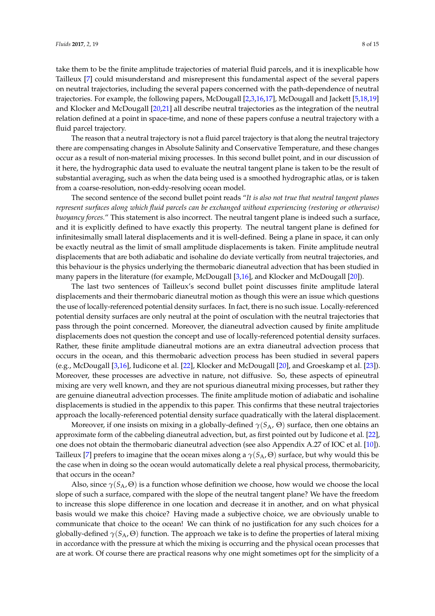take them to be the finite amplitude trajectories of material fluid parcels, and it is inexplicable how Tailleux [\[7\]](#page-14-5) could misunderstand and misrepresent this fundamental aspect of the several papers on neutral trajectories, including the several papers concerned with the path-dependence of neutral trajectories. For example, the following papers, McDougall [\[2](#page-14-0)[,3](#page-14-1)[,16](#page-14-14)[,17\]](#page-14-15), McDougall and Jackett [\[5,](#page-14-3)[18,](#page-14-16)[19\]](#page-14-17) and Klocker and McDougall [\[20,](#page-14-18)[21\]](#page-14-19) all describe neutral trajectories as the integration of the neutral relation defined at a point in space-time, and none of these papers confuse a neutral trajectory with a fluid parcel trajectory.

The reason that a neutral trajectory is not a fluid parcel trajectory is that along the neutral trajectory there are compensating changes in Absolute Salinity and Conservative Temperature, and these changes occur as a result of non-material mixing processes. In this second bullet point, and in our discussion of it here, the hydrographic data used to evaluate the neutral tangent plane is taken to be the result of substantial averaging, such as when the data being used is a smoothed hydrographic atlas, or is taken from a coarse-resolution, non-eddy-resolving ocean model.

The second sentence of the second bullet point reads "*It is also not true that neutral tangent planes represent surfaces along which fluid parcels can be exchanged without experiencing (restoring or otherwise) buoyancy forces.*" This statement is also incorrect. The neutral tangent plane is indeed such a surface, and it is explicitly defined to have exactly this property. The neutral tangent plane is defined for infinitesimally small lateral displacements and it is well-defined. Being a plane in space, it can only be exactly neutral as the limit of small amplitude displacements is taken. Finite amplitude neutral displacements that are both adiabatic and isohaline do deviate vertically from neutral trajectories, and this behaviour is the physics underlying the thermobaric dianeutral advection that has been studied in many papers in the literature (for example, McDougall [\[3](#page-14-1)[,16\]](#page-14-14), and Klocker and McDougall [\[20\]](#page-14-18)).

The last two sentences of Tailleux's second bullet point discusses finite amplitude lateral displacements and their thermobaric dianeutral motion as though this were an issue which questions the use of locally-referenced potential density surfaces. In fact, there is no such issue. Locally-referenced potential density surfaces are only neutral at the point of osculation with the neutral trajectories that pass through the point concerned. Moreover, the dianeutral advection caused by finite amplitude displacements does not question the concept and use of locally-referenced potential density surfaces. Rather, these finite amplitude dianeutral motions are an extra dianeutral advection process that occurs in the ocean, and this thermobaric advection process has been studied in several papers (e.g., McDougall [\[3,](#page-14-1)[16\]](#page-14-14), Iudicone et al. [\[22\]](#page-14-20), Klocker and McDougall [\[20\]](#page-14-18), and Groeskamp et al. [\[23\]](#page-14-21)). Moreover, these processes are advective in nature, not diffusive. So, these aspects of epineutral mixing are very well known, and they are not spurious dianeutral mixing processes, but rather they are genuine dianeutral advection processes. The finite amplitude motion of adiabatic and isohaline displacements is studied in the appendix to this paper. This confirms that these neutral trajectories approach the locally-referenced potential density surface quadratically with the lateral displacement.

Moreover, if one insists on mixing in a globally-defined *γ*(*S*A, Θ) surface, then one obtains an approximate form of the cabbeling dianeutral advection, but, as first pointed out by Iudicone et al. [\[22\]](#page-14-20), one does not obtain the thermobaric dianeutral advection (see also Appendix A.27 of IOC et al. [\[10\]](#page-14-8)). Tailleux [\[7\]](#page-14-5) prefers to imagine that the ocean mixes along a *γ*(*S*A, Θ) surface, but why would this be the case when in doing so the ocean would automatically delete a real physical process, thermobaricity, that occurs in the ocean?

Also, since  $\gamma(S_A, \Theta)$  is a function whose definition we choose, how would we choose the local slope of such a surface, compared with the slope of the neutral tangent plane? We have the freedom to increase this slope difference in one location and decrease it in another, and on what physical basis would we make this choice? Having made a subjective choice, we are obviously unable to communicate that choice to the ocean! We can think of no justification for any such choices for a globally-defined  $\gamma(S_A, \Theta)$  function. The approach we take is to define the properties of lateral mixing in accordance with the pressure at which the mixing is occurring and the physical ocean processes that are at work. Of course there are practical reasons why one might sometimes opt for the simplicity of a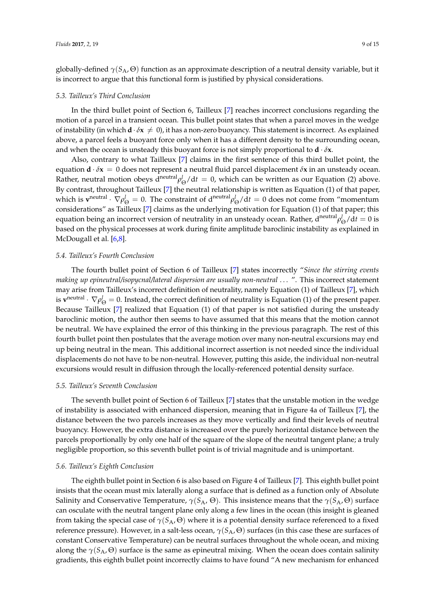globally-defined  $\gamma(S_A, \Theta)$  function as an approximate description of a neutral density variable, but it is incorrect to argue that this functional form is justified by physical considerations.

## *5.3. Tailleux's Third Conclusion*

In the third bullet point of Section 6, Tailleux [\[7\]](#page-14-5) reaches incorrect conclusions regarding the motion of a parcel in a transient ocean. This bullet point states that when a parcel moves in the wedge of instability (in which  $\mathbf{d} \cdot \delta \mathbf{x} \neq 0$ ), it has a non-zero buoyancy. This statement is incorrect. As explained above, a parcel feels a buoyant force only when it has a different density to the surrounding ocean, and when the ocean is unsteady this buoyant force is not simply proportional to  $\mathbf{d} \cdot \delta \mathbf{x}$ .

Also, contrary to what Tailleux [\[7\]](#page-14-5) claims in the first sentence of this third bullet point, the equation  $\mathbf{d} \cdot \delta \mathbf{x} = 0$  does not represent a neutral fluid parcel displacement  $\delta \mathbf{x}$  in an unsteady ocean. Rather, neutral motion obeys  $d^{neutral} \rho_{\Theta}^l/dt = 0$ , which can be written as our Equation (2) above. By contrast, throughout Tailleux [\[7\]](#page-14-5) the neutral relationship is written as Equation (1) of that paper, which is  $\mathbf{v}^{\text{neutral}} \cdot \nabla \rho_{\Theta}^l = 0$ . The constraint of  $\text{d}^{\text{neutral}} \rho_{\Theta}^l/\text{d}t = 0$  does not come from "momentum considerations" as Tailleux [\[7\]](#page-14-5) claims as the underlying motivation for Equation (1) of that paper; this equation being an incorrect version of neutrality in an unsteady ocean. Rather,  $d^{neutral} \rho_{\Theta}^l/dt = 0$  is based on the physical processes at work during finite amplitude baroclinic instability as explained in McDougall et al. [\[6,](#page-14-4)[8\]](#page-14-6).

## *5.4. Tailleux's Fourth Conclusion*

The fourth bullet point of Section 6 of Tailleux [\[7\]](#page-14-5) states incorrectly "*Since the stirring events making up epineutral/isopycnal/lateral dispersion are usually non-neutral* . . . ". This incorrect statement may arise from Tailleux's incorrect definition of neutrality, namely Equation (1) of Tailleux [\[7\]](#page-14-5), which is  ${\bf v}^{\rm neutral} \cdot \nabla \rho_{\Theta}^l=0.$  Instead, the correct definition of neutrality is Equation (1) of the present paper. Because Tailleux [\[7\]](#page-14-5) realized that Equation (1) of that paper is not satisfied during the unsteady baroclinic motion, the author then seems to have assumed that this means that the motion cannot be neutral. We have explained the error of this thinking in the previous paragraph. The rest of this fourth bullet point then postulates that the average motion over many non-neutral excursions may end up being neutral in the mean. This additional incorrect assertion is not needed since the individual displacements do not have to be non-neutral. However, putting this aside, the individual non-neutral excursions would result in diffusion through the locally-referenced potential density surface.

## *5.5. Tailleux's Seventh Conclusion*

The seventh bullet point of Section 6 of Tailleux [\[7\]](#page-14-5) states that the unstable motion in the wedge of instability is associated with enhanced dispersion, meaning that in Figure 4a of Tailleux [\[7\]](#page-14-5), the distance between the two parcels increases as they move vertically and find their levels of neutral buoyancy. However, the extra distance is increased over the purely horizontal distance between the parcels proportionally by only one half of the square of the slope of the neutral tangent plane; a truly negligible proportion, so this seventh bullet point is of trivial magnitude and is unimportant.

## *5.6. Tailleux's Eighth Conclusion*

The eighth bullet point in Section 6 is also based on Figure 4 of Tailleux [\[7\]](#page-14-5). This eighth bullet point insists that the ocean must mix laterally along a surface that is defined as a function only of Absolute Salinity and Conservative Temperature,  $\gamma(S_A, \Theta)$ . This insistence means that the  $\gamma(S_A, \Theta)$  surface can osculate with the neutral tangent plane only along a few lines in the ocean (this insight is gleaned from taking the special case of  $\gamma(S_A, \Theta)$  where it is a potential density surface referenced to a fixed reference pressure). However, in a salt-less ocean, *γ*(*S*A, Θ) surfaces (in this case these are surfaces of constant Conservative Temperature) can be neutral surfaces throughout the whole ocean, and mixing along the  $\gamma(S_A, \Theta)$  surface is the same as epineutral mixing. When the ocean does contain salinity gradients, this eighth bullet point incorrectly claims to have found "A new mechanism for enhanced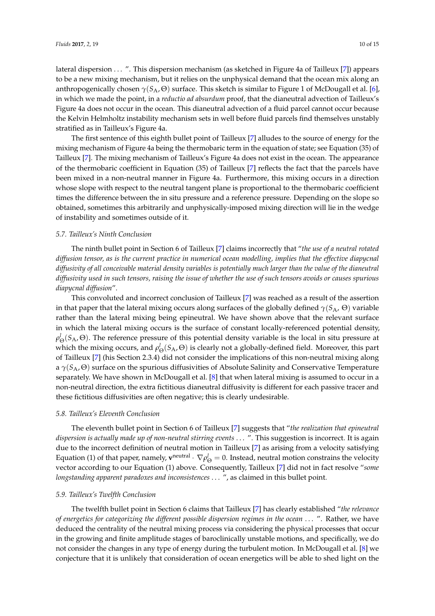lateral dispersion . . . ". This dispersion mechanism (as sketched in Figure 4a of Tailleux [\[7\]](#page-14-5)) appears to be a new mixing mechanism, but it relies on the unphysical demand that the ocean mix along an anthropogenically chosen *γ*(*S*A, Θ) surface. This sketch is similar to Figure 1 of McDougall et al. [\[6\]](#page-14-4), in which we made the point, in a *reductio ad absurdum* proof, that the dianeutral advection of Tailleux's Figure 4a does not occur in the ocean. This dianeutral advection of a fluid parcel cannot occur because the Kelvin Helmholtz instability mechanism sets in well before fluid parcels find themselves unstably stratified as in Tailleux's Figure 4a.

The first sentence of this eighth bullet point of Tailleux [\[7\]](#page-14-5) alludes to the source of energy for the mixing mechanism of Figure 4a being the thermobaric term in the equation of state; see Equation (35) of Tailleux [\[7\]](#page-14-5). The mixing mechanism of Tailleux's Figure 4a does not exist in the ocean. The appearance of the thermobaric coefficient in Equation (35) of Tailleux [\[7\]](#page-14-5) reflects the fact that the parcels have been mixed in a non-neutral manner in Figure 4a. Furthermore, this mixing occurs in a direction whose slope with respect to the neutral tangent plane is proportional to the thermobaric coefficient times the difference between the in situ pressure and a reference pressure. Depending on the slope so obtained, sometimes this arbitrarily and unphysically-imposed mixing direction will lie in the wedge of instability and sometimes outside of it.

## *5.7. Tailleux's Ninth Conclusion*

The ninth bullet point in Section 6 of Tailleux [\[7\]](#page-14-5) claims incorrectly that "*the use of a neutral rotated diffusion tensor, as is the current practice in numerical ocean modelling, implies that the effective diapycnal diffusivity of all conceivable material density variables is potentially much larger than the value of the dianeutral diffusivity used in such tensors, raising the issue of whether the use of such tensors avoids or causes spurious diapycnal diffusion*".

This convoluted and incorrect conclusion of Tailleux [\[7\]](#page-14-5) was reached as a result of the assertion in that paper that the lateral mixing occurs along surfaces of the globally defined  $\gamma(S_A, \Theta)$  variable rather than the lateral mixing being epineutral. We have shown above that the relevant surface in which the lateral mixing occurs is the surface of constant locally-referenced potential density,  $ρ_Θ^l(S_A,Θ)$ . The reference pressure of this potential density variable is the local in situ pressure at which the mixing occurs, and  $\rho_{\Theta}^l(S_A, \Theta)$  is clearly not a globally-defined field. Moreover, this part of Tailleux [\[7\]](#page-14-5) (his Section 2.3.4) did not consider the implications of this non-neutral mixing along a *γ*(*S*A, Θ) surface on the spurious diffusivities of Absolute Salinity and Conservative Temperature separately. We have shown in McDougall et al. [\[8\]](#page-14-6) that when lateral mixing is assumed to occur in a non-neutral direction, the extra fictitious dianeutral diffusivity is different for each passive tracer and these fictitious diffusivities are often negative; this is clearly undesirable.

## *5.8. Tailleux's Eleventh Conclusion*

The eleventh bullet point in Section 6 of Tailleux [\[7\]](#page-14-5) suggests that "*the realization that epineutral dispersion is actually made up of non-neutral stirring events* . . . ". This suggestion is incorrect. It is again due to the incorrect definition of neutral motion in Tailleux [\[7\]](#page-14-5) as arising from a velocity satisfying Equation (1) of that paper, namely,  $\mathbf{v}^{\text{neutral}} \cdot \nabla \rho_{\Theta}^l = 0$ . Instead, neutral motion constrains the velocity vector according to our Equation (1) above. Consequently, Tailleux [\[7\]](#page-14-5) did not in fact resolve "*some longstanding apparent paradoxes and inconsistences* . . . ", as claimed in this bullet point.

## *5.9. Tailleux's Twelfth Conclusion*

The twelfth bullet point in Section 6 claims that Tailleux [\[7\]](#page-14-5) has clearly established "*the relevance of energetics for categorizing the different possible dispersion regimes in the ocean* . . . ". Rather, we have deduced the centrality of the neutral mixing process via considering the physical processes that occur in the growing and finite amplitude stages of baroclinically unstable motions, and specifically, we do not consider the changes in any type of energy during the turbulent motion. In McDougall et al. [\[8\]](#page-14-6) we conjecture that it is unlikely that consideration of ocean energetics will be able to shed light on the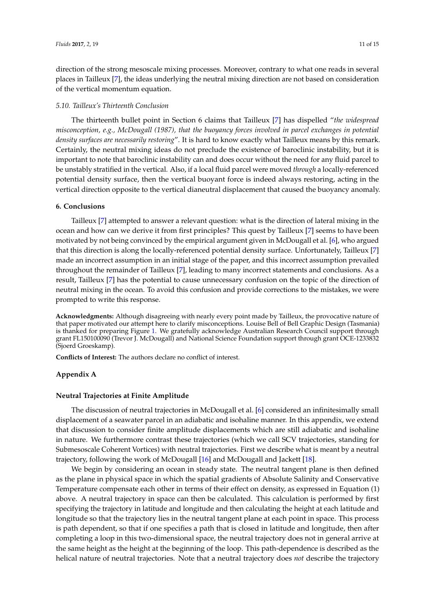direction of the strong mesoscale mixing processes. Moreover, contrary to what one reads in several places in Tailleux [\[7\]](#page-14-5), the ideas underlying the neutral mixing direction are not based on consideration of the vertical momentum equation.

#### *5.10. Tailleux's Thirteenth Conclusion*

The thirteenth bullet point in Section 6 claims that Tailleux [\[7\]](#page-14-5) has dispelled "*the widespread misconception, e.g., McDougall (1987), that the buoyancy forces involved in parcel exchanges in potential density surfaces are necessarily restoring*". It is hard to know exactly what Tailleux means by this remark. Certainly, the neutral mixing ideas do not preclude the existence of baroclinic instability, but it is important to note that baroclinic instability can and does occur without the need for any fluid parcel to be unstably stratified in the vertical. Also, if a local fluid parcel were moved *through* a locally-referenced potential density surface, then the vertical buoyant force is indeed always restoring, acting in the vertical direction opposite to the vertical dianeutral displacement that caused the buoyancy anomaly.

## **6. Conclusions**

Tailleux [\[7\]](#page-14-5) attempted to answer a relevant question: what is the direction of lateral mixing in the ocean and how can we derive it from first principles? This quest by Tailleux [\[7\]](#page-14-5) seems to have been motivated by not being convinced by the empirical argument given in McDougall et al. [\[6\]](#page-14-4), who argued that this direction is along the locally-referenced potential density surface. Unfortunately, Tailleux [\[7\]](#page-14-5) made an incorrect assumption in an initial stage of the paper, and this incorrect assumption prevailed throughout the remainder of Tailleux [\[7\]](#page-14-5), leading to many incorrect statements and conclusions. As a result, Tailleux [\[7\]](#page-14-5) has the potential to cause unnecessary confusion on the topic of the direction of neutral mixing in the ocean. To avoid this confusion and provide corrections to the mistakes, we were prompted to write this response.

**Acknowledgments:** Although disagreeing with nearly every point made by Tailleux, the provocative nature of that paper motivated our attempt here to clarify misconceptions. Louise Bell of Bell Graphic Design (Tasmania) is thanked for preparing Figure [1.](#page-3-0) We gratefully acknowledge Australian Research Council support through grant FL150100090 (Trevor J. McDougall) and National Science Foundation support through grant OCE-1233832 (Sjoerd Groeskamp).

**Conflicts of Interest:** The authors declare no conflict of interest.

## **Appendix A**

## **Neutral Trajectories at Finite Amplitude**

The discussion of neutral trajectories in McDougall et al. [\[6\]](#page-14-4) considered an infinitesimally small displacement of a seawater parcel in an adiabatic and isohaline manner. In this appendix, we extend that discussion to consider finite amplitude displacements which are still adiabatic and isohaline in nature. We furthermore contrast these trajectories (which we call SCV trajectories, standing for Submesoscale Coherent Vortices) with neutral trajectories. First we describe what is meant by a neutral trajectory, following the work of McDougall [\[16\]](#page-14-14) and McDougall and Jackett [\[18\]](#page-14-16).

We begin by considering an ocean in steady state. The neutral tangent plane is then defined as the plane in physical space in which the spatial gradients of Absolute Salinity and Conservative Temperature compensate each other in terms of their effect on density, as expressed in Equation (1) above. A neutral trajectory in space can then be calculated. This calculation is performed by first specifying the trajectory in latitude and longitude and then calculating the height at each latitude and longitude so that the trajectory lies in the neutral tangent plane at each point in space. This process is path dependent, so that if one specifies a path that is closed in latitude and longitude, then after completing a loop in this two-dimensional space, the neutral trajectory does not in general arrive at the same height as the height at the beginning of the loop. This path-dependence is described as the helical nature of neutral trajectories. Note that a neutral trajectory does *not* describe the trajectory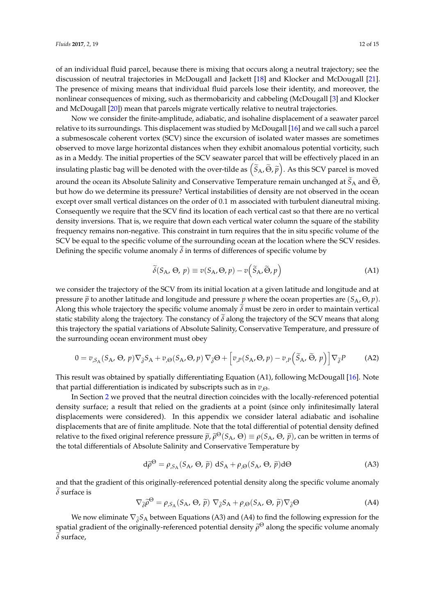of an individual fluid parcel, because there is mixing that occurs along a neutral trajectory; see the discussion of neutral trajectories in McDougall and Jackett [\[18\]](#page-14-16) and Klocker and McDougall [\[21\]](#page-14-19). The presence of mixing means that individual fluid parcels lose their identity, and moreover, the nonlinear consequences of mixing, such as thermobaricity and cabbeling (McDougall [\[3\]](#page-14-1) and Klocker and McDougall [\[20\]](#page-14-18)) mean that parcels migrate vertically relative to neutral trajectories.

Now we consider the finite-amplitude, adiabatic, and isohaline displacement of a seawater parcel relative to its surroundings. This displacement was studied by McDougall [\[16\]](#page-14-14) and we call such a parcel a submesoscale coherent vortex (SCV) since the excursion of isolated water masses are sometimes observed to move large horizontal distances when they exhibit anomalous potential vorticity, such as in a Meddy. The initial properties of the SCV seawater parcel that will be effectively placed in an insulating plastic bag will be denoted with the over-tilde as  $\left(\widetilde{S}_A, \widetilde{\Theta}, \widetilde{p}\right)$ . As this SCV parcel is moved around the ocean its Absolute Salinity and Conservative Temperature remain unchanged at  $\widetilde{S}_A$  and  $\widetilde{\Theta}$ , but how do we determine its pressure? Vertical instabilities of density are not observed in the ocean except over small vertical distances on the order of 0.1 m associated with turbulent dianeutral mixing. Consequently we require that the SCV find its location of each vertical cast so that there are no vertical density inversions. That is, we require that down each vertical water column the square of the stability frequency remains non-negative. This constraint in turn requires that the in situ specific volume of the SCV be equal to the specific volume of the surrounding ocean at the location where the SCV resides. Defining the specific volume anomaly  $\delta$  in terms of differences of specific volume by

$$
\widetilde{\delta}(S_{A}, \Theta, p) \equiv v(S_{A}, \Theta, p) - v(\widetilde{S}_{A}, \widetilde{\Theta}, p)
$$
\n(A1)

we consider the trajectory of the SCV from its initial location at a given latitude and longitude and at pressure  $\tilde{p}$  to another latitude and longitude and pressure *p* where the ocean properties are  $(S_A, \Theta, p)$ . Along this whole trajectory the specific volume anomaly  $\delta$  must be zero in order to maintain vertical static stability along the trajectory. The constancy of  $\delta$  along the trajectory of the SCV means that along this trajectory the spatial variations of Absolute Salinity, Conservative Temperature, and pressure of the surrounding ocean environment must obey

$$
0 = v_{,S_{A}}(S_{A}, \Theta, p) \nabla_{\tilde{\delta}} S_{A} + v_{,\Theta}(S_{A}, \Theta, p) \nabla_{\tilde{\delta}} \Theta + \left[ v_{,P}(S_{A}, \Theta, p) - v_{,P}\left(\tilde{S}_{A}, \tilde{\Theta}, p\right) \right] \nabla_{\tilde{\delta}} P \tag{A2}
$$

This result was obtained by spatially differentiating Equation (A1), following McDougall [\[16\]](#page-14-14). Note that partial differentiation is indicated by subscripts such as in *v*,Θ.

In Section [2](#page-1-0) we proved that the neutral direction coincides with the locally-referenced potential density surface; a result that relied on the gradients at a point (since only infinitesimally lateral displacements were considered). In this appendix we consider lateral adiabatic and isohaline displacements that are of finite amplitude. Note that the total differential of potential density defined relative to the fixed original reference pressure  $\tilde{p}$ ,  $\tilde{\rho}^{\Theta}(S_A, \Theta) \equiv \rho(S_A, \Theta, \tilde{p})$ , can be written in terms of the total differentials of Absolute Salinity and Conservative Temperature by

$$
d\tilde{\rho}^{\Theta} = \rho_{,S_{A}}(S_{A}, \Theta, \tilde{p}) dS_{A} + \rho_{,\Theta}(S_{A}, \Theta, \tilde{p}) d\Theta
$$
 (A3)

and that the gradient of this originally-referenced potential density along the specific volume anomaly  $\delta$  surface is

$$
\nabla_{\tilde{\delta}} \tilde{\rho}^{\Theta} = \rho_{,S_{A}}(S_{A}, \Theta, \tilde{p}) \nabla_{\tilde{\delta}} S_{A} + \rho_{,\Theta}(S_{A}, \Theta, \tilde{p}) \nabla_{\tilde{\delta}} \Theta
$$
\n(A4)

We now eliminate  $\nabla_{\tilde{s}} S_A$  between Equations (A3) and (A4) to find the following expression for the spatial gradient of the originally-referenced potential density  $\tilde{\rho}^{\Theta}$  along the specific volume anomaly  $\delta$  surface,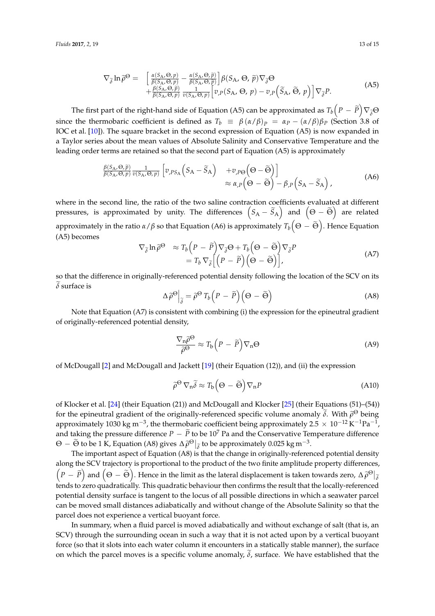$$
\nabla_{\tilde{\delta}} \ln \tilde{\rho}^{\Theta} = \begin{bmatrix} \frac{\alpha(S_A, \Theta, p)}{\beta(S_A, \Theta, p)} - \frac{\alpha(S_A, \Theta, \tilde{p})}{\beta(S_A, \Theta, \tilde{p})} \beta(S_A, \Theta, \tilde{p}) \nabla_{\tilde{\delta}} \Theta \\ + \frac{\beta(S_A, \Theta, \tilde{p})}{\beta(S_A, \Theta, p)} \frac{1}{v(S_A, \Theta, p)} \left[ v_p(S_A, \Theta, p) - v_p \left( \tilde{S}_A, \tilde{\Theta}, p \right) \right] \nabla_{\tilde{\delta}} P. \end{bmatrix}
$$
\n(A5)

The first part of the right-hand side of Equation (A5) can be approximated as  $T_b(P - \tilde{P}) \nabla_{\tilde{\delta}} \Theta$ since the thermobaric coefficient is defined as  $T_b \equiv \beta (\alpha/\beta)_p = \alpha_p - (\alpha/\beta)\beta_p$  (Section 3.8 of IOC et al. [\[10\]](#page-14-8)). The square bracket in the second expression of Equation (A5) is now expanded in a Taylor series about the mean values of Absolute Salinity and Conservative Temperature and the leading order terms are retained so that the second part of Equation (A5) is approximately

$$
\frac{\beta(S_A, \Theta, \tilde{p})}{\beta(S_A, \Theta, p)} \frac{1}{v(S_A, \Theta, p)} \left[ v_{,PS_A} \left( S_A - \tilde{S}_A \right) + v_{,P\Theta} \left( \Theta - \tilde{\Theta} \right) \right] \approx \alpha_{,P} \left( \Theta - \tilde{\Theta} \right) - \beta_{,P} \left( S_A - \tilde{S}_A \right),
$$
\n(A6)

where in the second line, the ratio of the two saline contraction coefficients evaluated at different pressures, is approximated by unity. The differences  $(S_{\rm A}-\widetilde{S}_{\rm A}\big)$  and  $\left(\Theta-\widetilde{\Theta}\right)$  are related approximately in the ratio  $\alpha/\beta$  so that Equation (A6) is approximately  $T_b\Big(\Theta-\widetilde{\Theta}\Big).$  Hence Equation (A5) becomes

$$
\nabla_{\widetilde{\delta}} \ln \widetilde{\rho}^{\Theta} \approx T_b \left( P - \widetilde{P} \right) \nabla_{\widetilde{\delta}} \Theta + T_b \left( \Theta - \widetilde{\Theta} \right) \nabla_{\widetilde{\delta}} P \n= T_b \nabla_{\widetilde{\delta}} \left[ \left( P - \widetilde{P} \right) \left( \Theta - \widetilde{\Theta} \right) \right],
$$
\n(A7)

so that the difference in originally-referenced potential density following the location of the SCV on its  $\delta$  surface is

$$
\Delta \widetilde{\rho}^{\Theta} \Big|_{\widetilde{\delta}} = \widetilde{\rho}^{\Theta} T_b \Big( P - \widetilde{P} \Big) \Big( \Theta - \widetilde{\Theta} \Big) \tag{A8}
$$

Note that Equation (A7) is consistent with combining (i) the expression for the epineutral gradient of originally-referenced potential density,

$$
\frac{\nabla_{\mathbf{n}}\tilde{\rho}^{\Theta}}{\tilde{\rho}^{\Theta}} \approx T_{\mathbf{b}}\left(P - \tilde{P}\right)\nabla_{\mathbf{n}}\Theta\tag{A9}
$$

of McDougall [\[2\]](#page-14-0) and McDougall and Jackett [\[19\]](#page-14-17) (their Equation (12)), and (ii) the expression

$$
\tilde{\rho}^{\Theta} \nabla_{\mathbf{n}} \tilde{\delta} \approx T_{\mathbf{b}} \Big( \Theta - \tilde{\Theta} \Big) \nabla_{\mathbf{n}} P \tag{A10}
$$

of Klocker et al. [\[24\]](#page-14-22) (their Equation (21)) and McDougall and Klocker [\[25\]](#page-14-23) (their Equations (51)–(54)) for the epineutral gradient of the originally-referenced specific volume anomaly  $\tilde{\delta}$ . With  $\tilde{\rho}^{\Theta}$  being  $\tilde{\rho}^{\Theta}$  being  $\tilde{\rho}^{\Theta}$  being  $\tilde{\rho}^{\Theta}$  being  $\tilde{\rho}^{\Theta}$  being  $\tilde{\rho}^{\Theta}$  being  $\tilde{\rho}^{\Theta}$ approximately 1030 kg m<sup>-3</sup>, the thermobaric coefficient being approximately 2.5  $\times$  10<sup>-12</sup> K<sup>-1</sup>Pa<sup>-1</sup>, and taking the pressure difference  $P - \tilde{P}$  to be 10<sup>7</sup> Pa and the Conservative Temperature difference  $Θ$  –  $\widetilde{Θ}$  to be 1 K, Equation (A8) gives  $\Delta \widetilde{\rho}^Θ$   $\widetilde{δ}$  to be approximately 0.025 kg m<sup>-3</sup>.

The important aspect of Equation (A8) is that the change in originally-referenced potential density along the SCV trajectory is proportional to the product of the two finite amplitude property differences,  $\left(P - \widetilde{P}\right)$  and  $\left(\Theta - \widetilde{\Theta}\right)$ . Hence in the limit as the lateral displacement is taken towards zero,  $\Delta \widetilde{\rho}^{\Theta} |_{\widetilde{\delta}}$ tends to zero quadratically. This quadratic behaviour then confirms the result that the locally-referenced potential density surface is tangent to the locus of all possible directions in which a seawater parcel can be moved small distances adiabatically and without change of the Absolute Salinity so that the parcel does not experience a vertical buoyant force.

In summary, when a fluid parcel is moved adiabatically and without exchange of salt (that is, an SCV) through the surrounding ocean in such a way that it is not acted upon by a vertical buoyant force (so that it slots into each water column it encounters in a statically stable manner), the surface on which the parcel moves is a specific volume anomaly,  $\delta$ , surface. We have established that the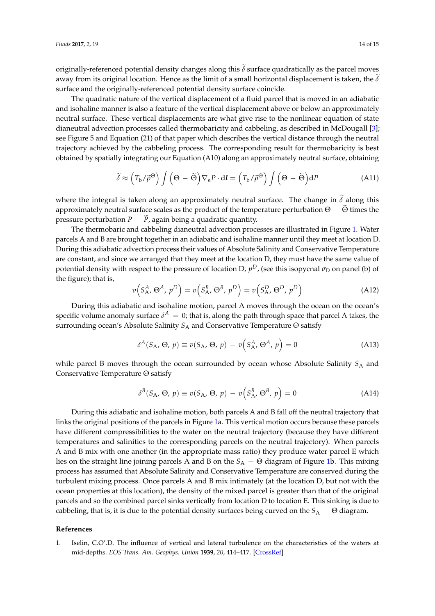originally-referenced potential density changes along this  $\tilde{\delta}$  surface quadratically as the parcel moves away from its original location. Hence as the limit of a small horizontal displacement is taken, the *δ*e surface and the originally-referenced potential density surface coincide.

The quadratic nature of the vertical displacement of a fluid parcel that is moved in an adiabatic and isohaline manner is also a feature of the vertical displacement above or below an approximately neutral surface. These vertical displacements are what give rise to the nonlinear equation of state dianeutral advection processes called thermobaricity and cabbeling, as described in McDougall [\[3\]](#page-14-1); see Figure 5 and Equation (21) of that paper which describes the vertical distance through the neutral trajectory achieved by the cabbeling process. The corresponding result for thermobaricity is best obtained by spatially integrating our Equation (A10) along an approximately neutral surface, obtaining

$$
\tilde{\delta} \approx \left(T_{\mathbf{b}}/\tilde{\rho}^{\Theta}\right) \int \left(\Theta - \tilde{\Theta}\right) \nabla_{\mathbf{a}} P \cdot d\mathbf{l} = \left(T_{\mathbf{b}}/\tilde{\rho}^{\Theta}\right) \int \left(\Theta - \tilde{\Theta}\right) dP \tag{A11}
$$

where the integral is taken along an approximately neutral surface. The change in  $\tilde{\delta}$  along this approximately neutral surface scales as the product of the temperature perturbation  $\Theta - \Theta$  times the pressure perturbation  $P - \tilde{P}$ , again being a quadratic quantity.

The thermobaric and cabbeling dianeutral advection processes are illustrated in Figure [1.](#page-3-0) Water parcels A and B are brought together in an adiabatic and isohaline manner until they meet at location D. During this adiabatic advection process their values of Absolute Salinity and Conservative Temperature are constant, and since we arranged that they meet at the location D, they must have the same value of potential density with respect to the pressure of location D,  $p^D$ , (see this isopycnal  $\sigma_{\rm D}$  on panel (b) of the figure); that is,

$$
v(S_A^A, \Theta^A, p^D) = v(S_A^B, \Theta^B, p^D) = v(S_A^D, \Theta^D, p^D)
$$
 (A12)

During this adiabatic and isohaline motion, parcel A moves through the ocean on the ocean's specific volume anomaly surface  $\delta^A = 0$ ; that is, along the path through space that parcel A takes, the surrounding ocean's Absolute Salinity *S*<sup>A</sup> and Conservative Temperature Θ satisfy

$$
\delta^{A}(S_{A}, \Theta, p) \equiv v(S_{A}, \Theta, p) - v(S_{A}^{A}, \Theta^{A}, p) = 0
$$
\n(A13)

while parcel B moves through the ocean surrounded by ocean whose Absolute Salinity S<sub>A</sub> and Conservative Temperature Θ satisfy

$$
\delta^{B}(S_{A}, \Theta, p) \equiv v(S_{A}, \Theta, p) - v(S_{A}^{B}, \Theta^{B}, p) = 0
$$
\n(A14)

During this adiabatic and isohaline motion, both parcels A and B fall off the neutral trajectory that links the original positions of the parcels in Figure [1a](#page-3-0). This vertical motion occurs because these parcels have different compressibilities to the water on the neutral trajectory (because they have different temperatures and salinities to the corresponding parcels on the neutral trajectory). When parcels A and B mix with one another (in the appropriate mass ratio) they produce water parcel E which lies on the straight line joining parcels A and B on the  $S_A - \Theta$  diagram of Figure [1b](#page-3-0). This mixing process has assumed that Absolute Salinity and Conservative Temperature are conserved during the turbulent mixing process. Once parcels A and B mix intimately (at the location D, but not with the ocean properties at this location), the density of the mixed parcel is greater than that of the original parcels and so the combined parcel sinks vertically from location D to location E. This sinking is due to cabbeling, that is, it is due to the potential density surfaces being curved on the  $S_A - \Theta$  diagram.

### **References**

<span id="page-13-0"></span>1. Iselin, C.O'.D. The influence of vertical and lateral turbulence on the characteristics of the waters at mid-depths. *EOS Trans. Am. Geophys. Union* **1939**, *20*, 414–417. [\[CrossRef\]](http://dx.doi.org/10.1029/TR020i003p00414)